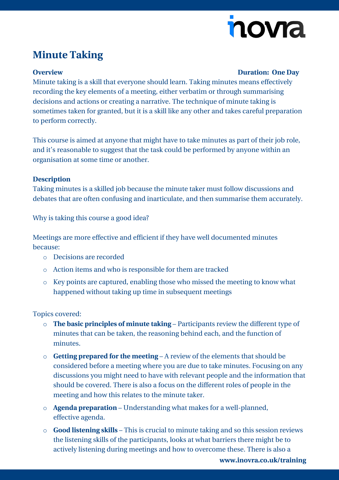# novia

## **Minute Taking**

### **Overview Duration: One Day**

Minute taking is a skill that everyone should learn. Taking minutes means effectively recording the key elements of a meeting, either verbatim or through summarising decisions and actions or creating a narrative. The technique of minute taking is sometimes taken for granted, but it is a skill like any other and takes careful preparation to perform correctly.

This course is aimed at anyone that might have to take minutes as part of their job role, and it's reasonable to suggest that the task could be performed by anyone within an organisation at some time or another.

### **Description**

Taking minutes is a skilled job because the minute taker must follow discussions and debates that are often confusing and inarticulate, and then summarise them accurately.

Why is taking this course a good idea?

Meetings are more effective and efficient if they have well documented minutes because:

- o Decisions are recorded
- o Action items and who is responsible for them are tracked
- o Key points are captured, enabling those who missed the meeting to know what happened without taking up time in subsequent meetings

Topics covered:

- o **The basic principles of minute taking**  Participants review the different type of minutes that can be taken, the reasoning behind each, and the function of minutes.
- o **Getting prepared for the meeting**  A review of the elements that should be considered before a meeting where you are due to take minutes. Focusing on any discussions you might need to have with relevant people and the information that should be covered. There is also a focus on the different roles of people in the meeting and how this relates to the minute taker.
- o **Agenda preparation**  Understanding what makes for a well-planned, effective agenda.
- o **Good listening skills**  This is crucial to minute taking and so this session reviews the listening skills of the participants, looks at what barriers there might be to actively listening during meetings and how to overcome these. There is also a

**[www.inovra.co.uk/training](http://www.inovra.co.uk/training)**